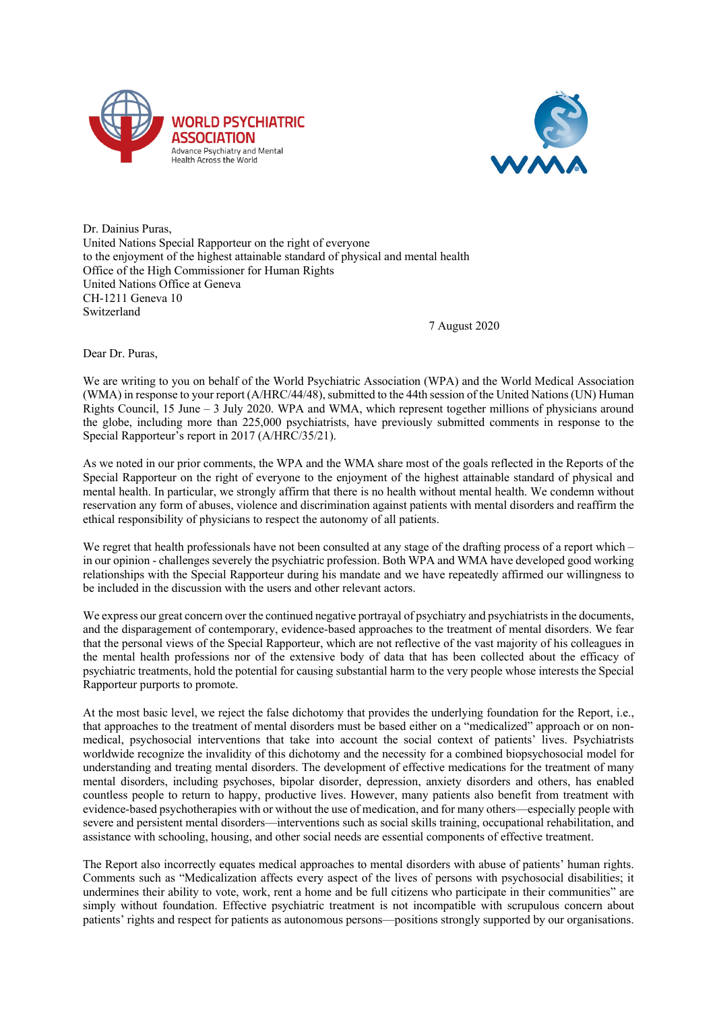



Dr. Dainius Puras, United Nations Special Rapporteur on the right of everyone to the enjoyment of the highest attainable standard of physical and mental health Office of the High Commissioner for Human Rights United Nations Office at Geneva CH-1211 Geneva 10 Switzerland

7 August 2020

Dear Dr. Puras,

We are writing to you on behalf of the World Psychiatric Association (WPA) and the World Medical Association (WMA) in response to your report (A/HRC/44/48), submitted to the 44th session of the United Nations (UN) Human Rights Council, 15 June – 3 July 2020. WPA and WMA, which represent together millions of physicians around the globe, including more than 225,000 psychiatrists, have previously submitted comments in response to the Special Rapporteur's report in 2017 (A/HRC/35/21).

As we noted in our prior comments, the WPA and the WMA share most of the goals reflected in the Reports of the Special Rapporteur on the right of everyone to the enjoyment of the highest attainable standard of physical and mental health. In particular, we strongly affirm that there is no health without mental health. We condemn without reservation any form of abuses, violence and discrimination against patients with mental disorders and reaffirm the ethical responsibility of physicians to respect the autonomy of all patients.

We regret that health professionals have not been consulted at any stage of the drafting process of a report which – in our opinion - challenges severely the psychiatric profession. Both WPA and WMA have developed good working relationships with the Special Rapporteur during his mandate and we have repeatedly affirmed our willingness to be included in the discussion with the users and other relevant actors.

We express our great concern over the continued negative portraval of psychiatry and psychiatrists in the documents, and the disparagement of contemporary, evidence-based approaches to the treatment of mental disorders. We fear that the personal views of the Special Rapporteur, which are not reflective of the vast majority of his colleagues in the mental health professions nor of the extensive body of data that has been collected about the efficacy of psychiatric treatments, hold the potential for causing substantial harm to the very people whose interests the Special Rapporteur purports to promote.

At the most basic level, we reject the false dichotomy that provides the underlying foundation for the Report, i.e., that approaches to the treatment of mental disorders must be based either on a "medicalized" approach or on nonmedical, psychosocial interventions that take into account the social context of patients' lives. Psychiatrists worldwide recognize the invalidity of this dichotomy and the necessity for a combined biopsychosocial model for understanding and treating mental disorders. The development of effective medications for the treatment of many mental disorders, including psychoses, bipolar disorder, depression, anxiety disorders and others, has enabled countless people to return to happy, productive lives. However, many patients also benefit from treatment with evidence-based psychotherapies with or without the use of medication, and for many others—especially people with severe and persistent mental disorders—interventions such as social skills training, occupational rehabilitation, and assistance with schooling, housing, and other social needs are essential components of effective treatment.

The Report also incorrectly equates medical approaches to mental disorders with abuse of patients' human rights. Comments such as "Medicalization affects every aspect of the lives of persons with psychosocial disabilities; it undermines their ability to vote, work, rent a home and be full citizens who participate in their communities" are simply without foundation. Effective psychiatric treatment is not incompatible with scrupulous concern about patients' rights and respect for patients as autonomous persons—positions strongly supported by our organisations.